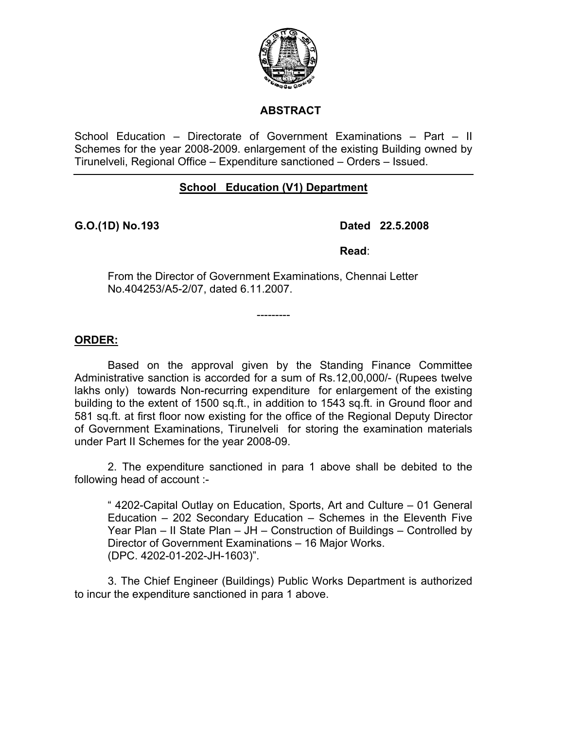

## **ABSTRACT**

School Education – Directorate of Government Examinations – Part – II Schemes for the year 2008-2009. enlargement of the existing Building owned by Tirunelveli, Regional Office – Expenditure sanctioned – Orders – Issued.

# **School Education (V1) Department**

### **G.O.(1D) No. 193 Dated 22.5.2008**

*Read:* Read:

From the Director of Government Examinations, Chennai Letter No.404253/A5-2/07, dated 6.11.2007.

---------

**ORDER:**

 Based on the approval given by the Standing Finance Committee Administrative sanction is accorded for a sum of Rs.12,00,000/- (Rupees twelve lakhs only) towards Non-recurring expenditure for enlargement of the existing building to the extent of 1500 sq.ft., in addition to 1543 sq.ft. in Ground floor and 581 sq.ft. at first floor now existing for the office of the Regional Deputy Director of Government Examinations, Tirunelveli for storing the examination materials under Part II Schemes for the year 2008-09.

 2. The expenditure sanctioned in para 1 above shall be debited to the following head of account :-

" 4202-Capital Outlay on Education, Sports, Art and Culture – 01 General Education – 202 Secondary Education – Schemes in the Eleventh Five Year Plan – II State Plan – JH – Construction of Buildings – Controlled by Director of Government Examinations – 16 Major Works. (DPC. 4202-01-202-JH-1603)".

3. The Chief Engineer (Buildings) Public Works Department is authorized to incur the expenditure sanctioned in para 1 above.